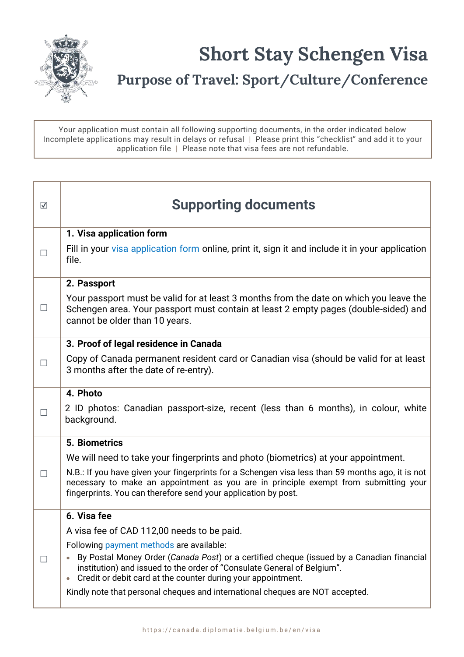

Your application must contain all following supporting documents, in the order indicated below Incomplete applications may result in delays or refusal | Please print this "checklist" and add it to your application file | Please note that visa fees are not refundable.

| $\overline{\mathsf{v}}$ | <b>Supporting documents</b>                                                                                                                                                                                                                                                                                                                                                                                                                 |
|-------------------------|---------------------------------------------------------------------------------------------------------------------------------------------------------------------------------------------------------------------------------------------------------------------------------------------------------------------------------------------------------------------------------------------------------------------------------------------|
| $\perp$                 | 1. Visa application form<br>Fill in your visa application form online, print it, sign it and include it in your application<br>file.                                                                                                                                                                                                                                                                                                        |
| $\Box$                  | 2. Passport<br>Your passport must be valid for at least 3 months from the date on which you leave the<br>Schengen area. Your passport must contain at least 2 empty pages (double-sided) and<br>cannot be older than 10 years.                                                                                                                                                                                                              |
| П                       | 3. Proof of legal residence in Canada<br>Copy of Canada permanent resident card or Canadian visa (should be valid for at least<br>3 months after the date of re-entry).                                                                                                                                                                                                                                                                     |
| П                       | 4. Photo<br>2 ID photos: Canadian passport-size, recent (less than 6 months), in colour, white<br>background.                                                                                                                                                                                                                                                                                                                               |
| $\Box$                  | <b>5. Biometrics</b><br>We will need to take your fingerprints and photo (biometrics) at your appointment.<br>N.B.: If you have given your fingerprints for a Schengen visa less than 59 months ago, it is not<br>necessary to make an appointment as you are in principle exempt from submitting your<br>fingerprints. You can therefore send your application by post.                                                                    |
| $\perp$                 | 6. Visa fee<br>A visa fee of CAD 112,00 needs to be paid.<br>Following payment methods are available:<br>By Postal Money Order (Canada Post) or a certified cheque (issued by a Canadian financial<br>institution) and issued to the order of "Consulate General of Belgium".<br>Credit or debit card at the counter during your appointment.<br>$\bullet$<br>Kindly note that personal cheques and international cheques are NOT accepted. |